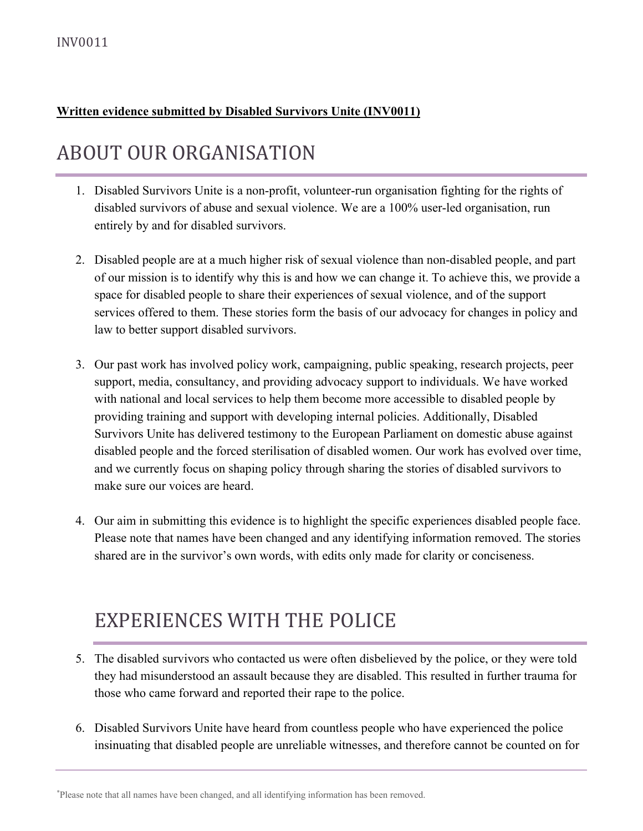#### **Written evidence submitted by Disabled Survivors Unite (INV0011)**

# ABOUT OUR ORGANISATION

- 1. Disabled Survivors Unite is a non-profit, volunteer-run organisation fighting for the rights of disabled survivors of abuse and sexual violence. We are a 100% user-led organisation, run entirely by and for disabled survivors.
- 2. Disabled people are at a much higher risk of sexual violence than non-disabled people, and part of our mission is to identify why this is and how we can change it. To achieve this, we provide a space for disabled people to share their experiences of sexual violence, and of the support services offered to them. These stories form the basis of our advocacy for changes in policy and law to better support disabled survivors.
- 3. Our past work has involved policy work, campaigning, public speaking, research projects, peer support, media, consultancy, and providing advocacy support to individuals. We have worked with national and local services to help them become more accessible to disabled people by providing training and support with developing internal policies. Additionally, Disabled Survivors Unite has delivered testimony to the European Parliament on domestic abuse against disabled people and the forced sterilisation of disabled women. Our work has evolved over time, and we currently focus on shaping policy through sharing the stories of disabled survivors to make sure our voices are heard.
- 4. Our aim in submitting this evidence is to highlight the specific experiences disabled people face. Please note that names have been changed and any identifying information removed. The stories shared are in the survivor's own words, with edits only made for clarity or conciseness.

# EXPERIENCES WITH THE POLICE

- 5. The disabled survivors who contacted us were often disbelieved by the police, or they were told they had misunderstood an assault because they are disabled. This resulted in further trauma for those who came forward and reported their rape to the police.
- 6. Disabled Survivors Unite have heard from countless people who have experienced the police insinuating that disabled people are unreliable witnesses, and therefore cannot be counted on for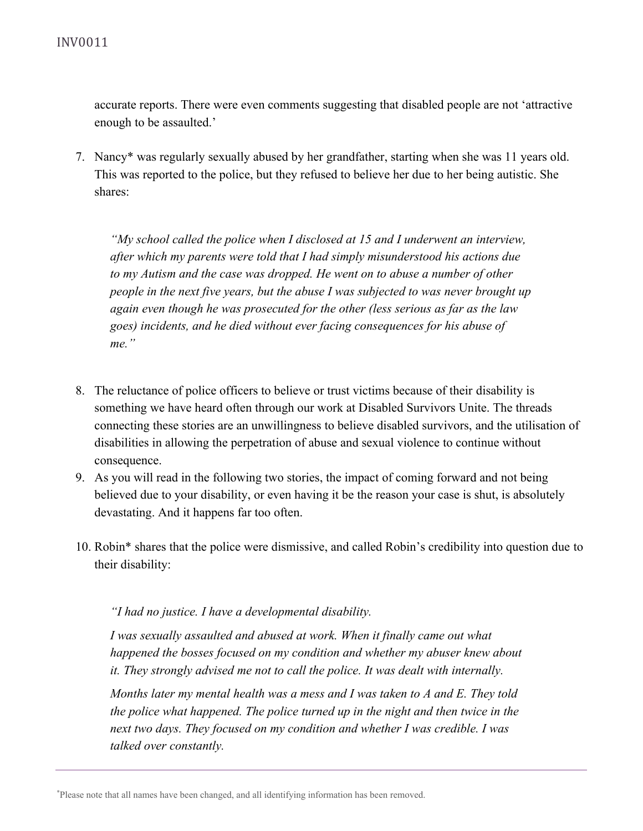accurate reports. There were even comments suggesting that disabled people are not 'attractive enough to be assaulted.'

7. Nancy\* was regularly sexually abused by her grandfather, starting when she was 11 years old. This was reported to the police, but they refused to believe her due to her being autistic. She shares:

*"My school called the police when I disclosed at 15 and I underwent an interview, after which my parents were told that I had simply misunderstood his actions due to my Autism and the case was dropped. He went on to abuse a number of other people in the next five years, but the abuse I was subjected to was never brought up again even though he was prosecuted for the other (less serious as far as the law goes) incidents, and he died without ever facing consequences for his abuse of me."*

- 8. The reluctance of police officers to believe or trust victims because of their disability is something we have heard often through our work at Disabled Survivors Unite. The threads connecting these stories are an unwillingness to believe disabled survivors, and the utilisation of disabilities in allowing the perpetration of abuse and sexual violence to continue without consequence.
- 9. As you will read in the following two stories, the impact of coming forward and not being believed due to your disability, or even having it be the reason your case is shut, is absolutely devastating. And it happens far too often.
- 10. Robin\* shares that the police were dismissive, and called Robin's credibility into question due to their disability:

#### *"I had no justice. I have a developmental disability.*

*I was sexually assaulted and abused at work. When it finally came out what happened the bosses focused on my condition and whether my abuser knew about it. They strongly advised me not to call the police. It was dealt with internally.*

*Months later my mental health was a mess and I was taken to A and E. They told the police what happened. The police turned up in the night and then twice in the next two days. They focused on my condition and whether I was credible. I was talked over constantly.*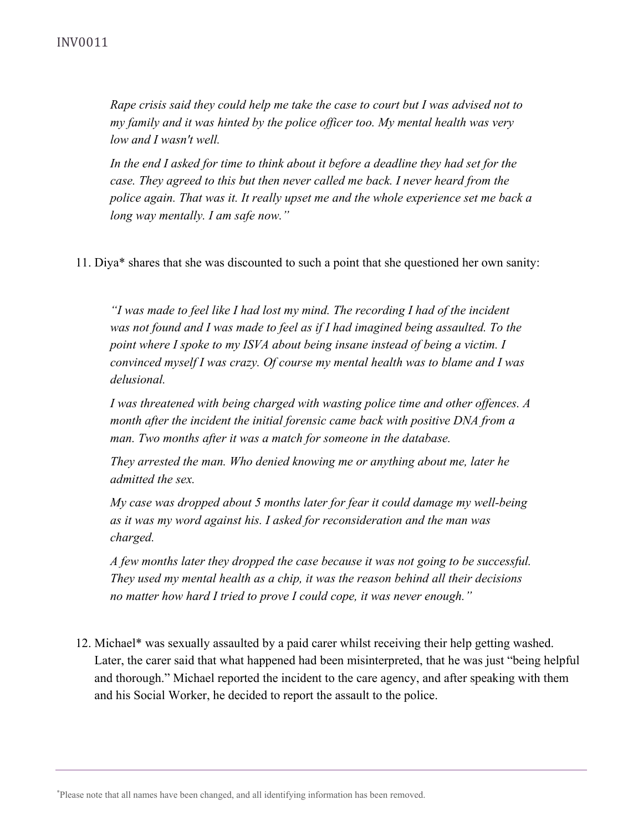*Rape crisis said they could help me take the case to court but I was advised not to my family and it was hinted by the police officer too. My mental health was very low and I wasn't well.*

*In the end I asked for time to think about it before a deadline they had set for the case. They agreed to this but then never called me back. I never heard from the police again. That was it. It really upset me and the whole experience set me back a long way mentally. I am safe now."*

11. Diya\* shares that she was discounted to such a point that she questioned her own sanity:

*"I was made to feel like I had lost my mind. The recording I had of the incident was not found and I was made to feel as if I had imagined being assaulted. To the point where I spoke to my ISVA about being insane instead of being a victim. I convinced myself I was crazy. Of course my mental health was to blame and I was delusional.*

*I was threatened with being charged with wasting police time and other offences. A month after the incident the initial forensic came back with positive DNA from a man. Two months after it was a match for someone in the database.*

*They arrested the man. Who denied knowing me or anything about me, later he admitted the sex.*

*My case was dropped about 5 months later for fear it could damage my well-being as it was my word against his. I asked for reconsideration and the man was charged.*

*A few months later they dropped the case because it was not going to be successful. They used my mental health as a chip, it was the reason behind all their decisions no matter how hard I tried to prove I could cope, it was never enough."*

12. Michael\* was sexually assaulted by a paid carer whilst receiving their help getting washed. Later, the carer said that what happened had been misinterpreted, that he was just "being helpful and thorough." Michael reported the incident to the care agency, and after speaking with them and his Social Worker, he decided to report the assault to the police.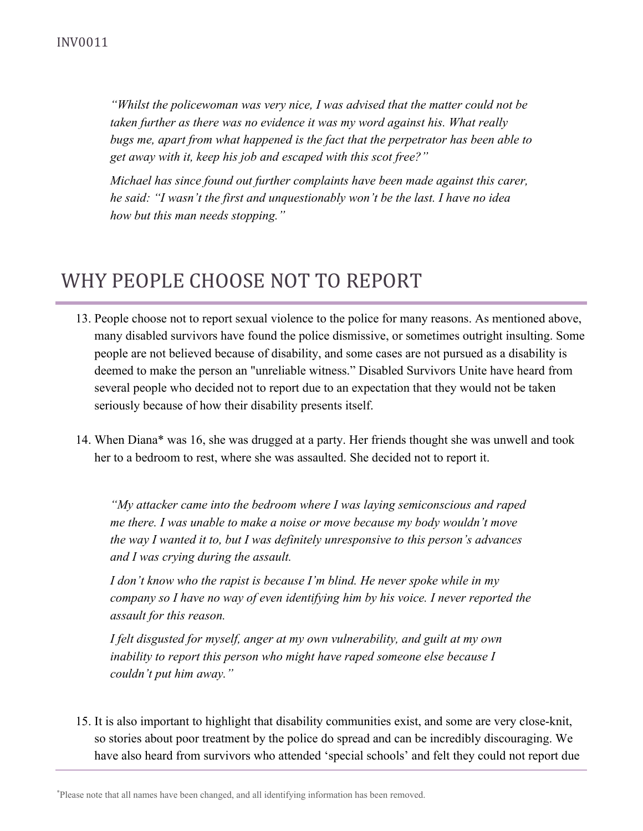*"Whilst the policewoman was very nice, I was advised that the matter could not be taken further as there was no evidence it was my word against his. What really bugs me, apart from what happened is the fact that the perpetrator has been able to get away with it, keep his job and escaped with this scot free?"*

*Michael has since found out further complaints have been made against this carer, he said: "I wasn't the first and unquestionably won't be the last. I have no idea how but this man needs stopping."*

## WHY PEOPLE CHOOSE NOT TO REPORT

- 13. People choose not to report sexual violence to the police for many reasons. As mentioned above, many disabled survivors have found the police dismissive, or sometimes outright insulting. Some people are not believed because of disability, and some cases are not pursued as a disability is deemed to make the person an "unreliable witness." Disabled Survivors Unite have heard from several people who decided not to report due to an expectation that they would not be taken seriously because of how their disability presents itself.
- 14. When Diana\* was 16, she was drugged at a party. Her friends thought she was unwell and took her to a bedroom to rest, where she was assaulted. She decided not to report it.

*"My attacker came into the bedroom where I was laying semiconscious and raped me there. I was unable to make a noise or move because my body wouldn't move the way I wanted it to, but I was definitely unresponsive to this person's advances and I was crying during the assault.*

*I don't know who the rapist is because I'm blind. He never spoke while in my company so I have no way of even identifying him by his voice. I never reported the assault for this reason.*

*I felt disgusted for myself, anger at my own vulnerability, and guilt at my own inability to report this person who might have raped someone else because I couldn't put him away."*

15. It is also important to highlight that disability communities exist, and some are very close-knit, so stories about poor treatment by the police do spread and can be incredibly discouraging. We have also heard from survivors who attended 'special schools' and felt they could not report due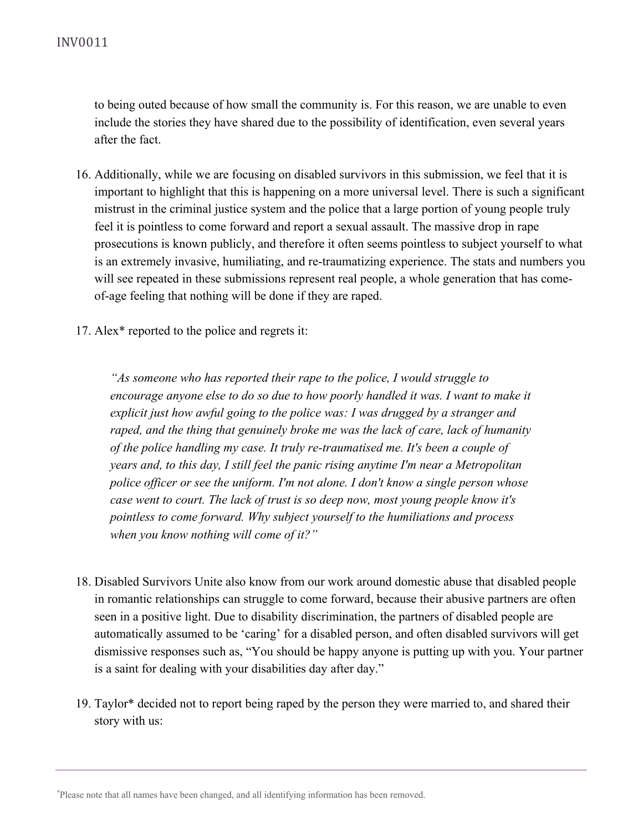to being outed because of how small the community is. For this reason, we are unable to even include the stories they have shared due to the possibility of identification, even several years after the fact.

- 16. Additionally, while we are focusing on disabled survivors in this submission, we feel that it is important to highlight that this is happening on a more universal level. There is such a significant mistrust in the criminal justice system and the police that a large portion of young people truly feel it is pointless to come forward and report a sexual assault. The massive drop in rape prosecutions is known publicly, and therefore it often seems pointless to subject yourself to what is an extremely invasive, humiliating, and re-traumatizing experience. The stats and numbers you will see repeated in these submissions represent real people, a whole generation that has comeof-age feeling that nothing will be done if they are raped.
- 17. Alex\* reported to the police and regrets it:

*"As someone who has reported their rape to the police, I would struggle to encourage anyone else to do so due to how poorly handled it was. I want to make it explicit just how awful going to the police was: I was drugged by a stranger and raped, and the thing that genuinely broke me was the lack of care, lack of humanity of the police handling my case. It truly re-traumatised me. It's been a couple of years and, to this day, I still feel the panic rising anytime I'm near a Metropolitan police officer or see the uniform. I'm not alone. I don't know a single person whose case went to court. The lack of trust is so deep now, most young people know it's pointless to come forward. Why subject yourself to the humiliations and process when you know nothing will come of it?"*

- 18. Disabled Survivors Unite also know from our work around domestic abuse that disabled people in romantic relationships can struggle to come forward, because their abusive partners are often seen in a positive light. Due to disability discrimination, the partners of disabled people are automatically assumed to be 'caring' for a disabled person, and often disabled survivors will get dismissive responses such as, "You should be happy anyone is putting up with you. Your partner is a saint for dealing with your disabilities day after day."
- 19. Taylor\* decided not to report being raped by the person they were married to, and shared their story with us: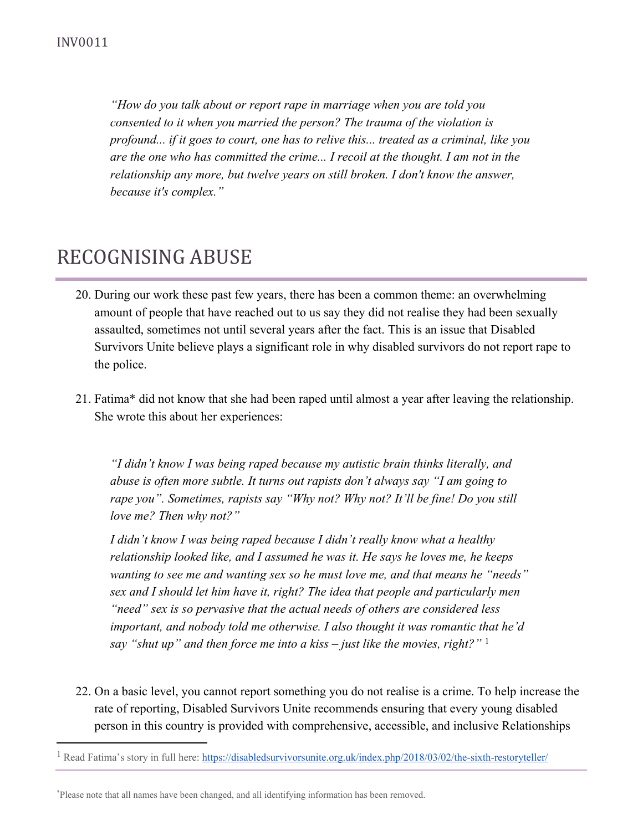*"How do you talk about or report rape in marriage when you are told you consented to it when you married the person? The trauma of the violation is profound... if it goes to court, one has to relive this... treated as a criminal, like you are the one who has committed the crime... I recoil at the thought. I am not in the relationship any more, but twelve years on still broken. I don't know the answer, because it's complex."*

## RECOGNISING ABUSE

- 20. During our work these past few years, there has been a common theme: an overwhelming amount of people that have reached out to us say they did not realise they had been sexually assaulted, sometimes not until several years after the fact. This is an issue that Disabled Survivors Unite believe plays a significant role in why disabled survivors do not report rape to the police.
- 21. Fatima\* did not know that she had been raped until almost a year after leaving the relationship. She wrote this about her experiences:

*"I didn't know I was being raped because my autistic brain thinks literally, and abuse is often more subtle. It turns out rapists don't always say "I am going to rape you". Sometimes, rapists say "Why not? Why not? It'll be fine! Do you still love me? Then why not?"*

*I didn't know I was being raped because I didn't really know what a healthy relationship looked like, and I assumed he was it. He says he loves me, he keeps wanting to see me and wanting sex so he must love me, and that means he "needs" sex and I should let him have it, right? The idea that people and particularly men "need" sex is so pervasive that the actual needs of others are considered less important, and nobody told me otherwise. I also thought it was romantic that he'd say "shut up" and then force me into a kiss – just like the movies, right?"* <sup>1</sup>

22. On a basic level, you cannot report something you do not realise is a crime. To help increase the rate of reporting, Disabled Survivors Unite recommends ensuring that every young disabled person in this country is provided with comprehensive, accessible, and inclusive Relationships

<sup>&</sup>lt;sup>1</sup> Read Fatima's story in full here: <https://disabledsurvivorsunite.org.uk/index.php/2018/03/02/the-sixth-restoryteller/>

<sup>\*</sup>Please note that all names have been changed, and all identifying information has been removed.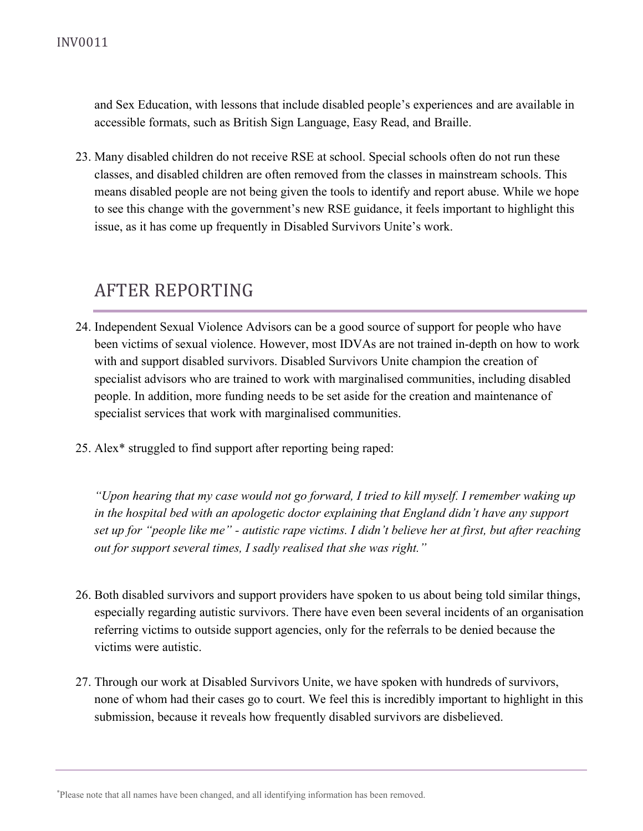and Sex Education, with lessons that include disabled people's experiences and are available in accessible formats, such as British Sign Language, Easy Read, and Braille.

23. Many disabled children do not receive RSE at school. Special schools often do not run these classes, and disabled children are often removed from the classes in mainstream schools. This means disabled people are not being given the tools to identify and report abuse. While we hope to see this change with the government's new RSE guidance, it feels important to highlight this issue, as it has come up frequently in Disabled Survivors Unite's work.

### AFTER REPORTING

- 24. Independent Sexual Violence Advisors can be a good source of support for people who have been victims of sexual violence. However, most IDVAs are not trained in-depth on how to work with and support disabled survivors. Disabled Survivors Unite champion the creation of specialist advisors who are trained to work with marginalised communities, including disabled people. In addition, more funding needs to be set aside for the creation and maintenance of specialist services that work with marginalised communities.
- 25. Alex\* struggled to find support after reporting being raped:

*"Upon hearing that my case would not go forward, I tried to kill myself. I remember waking up in the hospital bed with an apologetic doctor explaining that England didn't have any support* set up for "people like me" - autistic rape victims. I didn't believe her at first, but after reaching *out for support several times, I sadly realised that she was right."*

- 26. Both disabled survivors and support providers have spoken to us about being told similar things, especially regarding autistic survivors. There have even been several incidents of an organisation referring victims to outside support agencies, only for the referrals to be denied because the victims were autistic.
- 27. Through our work at Disabled Survivors Unite, we have spoken with hundreds of survivors, none of whom had their cases go to court. We feel this is incredibly important to highlight in this submission, because it reveals how frequently disabled survivors are disbelieved.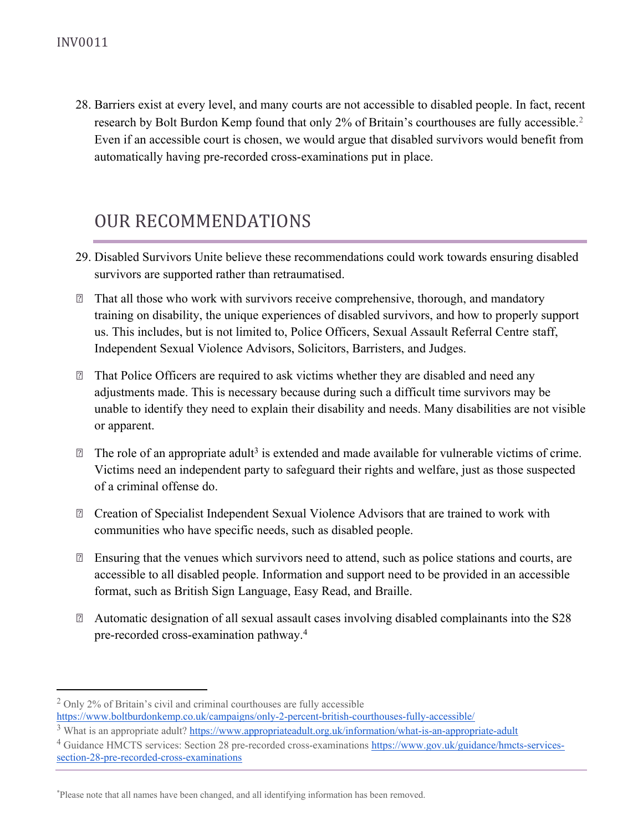28. Barriers exist at every level, and many courts are not accessible to disabled people. In fact, recent research by Bolt Burdon Kemp found that only 2% of Britain's courthouses are fully accessible.<sup>2</sup> Even if an accessible court is chosen, we would argue that disabled survivors would benefit from automatically having pre-recorded cross-examinations put in place.

### OUR RECOMMENDATIONS

- 29. Disabled Survivors Unite believe these recommendations could work towards ensuring disabled survivors are supported rather than retraumatised.
- □ That all those who work with survivors receive comprehensive, thorough, and mandatory training on disability, the unique experiences of disabled survivors, and how to properly support us. This includes, but is not limited to, Police Officers, Sexual Assault Referral Centre staff, Independent Sexual Violence Advisors, Solicitors, Barristers, and Judges.
- □ That Police Officers are required to ask victims whether they are disabled and need any adjustments made. This is necessary because during such a difficult time survivors may be unable to identify they need to explain their disability and needs. Many disabilities are not visible or apparent.
- $\mathbb D$  The role of an appropriate adult<sup>3</sup> is extended and made available for vulnerable victims of crime. Victims need an independent party to safeguard their rights and welfare, just as those suspected of a criminal offense do.
- Creation of Specialist Independent Sexual Violence Advisors that are trained to work with communities who have specific needs, such as disabled people.
- $\mathbb{Z}$  Ensuring that the venues which survivors need to attend, such as police stations and courts, are accessible to all disabled people. Information and support need to be provided in an accessible format, such as British Sign Language, Easy Read, and Braille.
- Automatic designation of all sexual assault cases involving disabled complainants into the S28 pre-recorded cross-examination pathway.<sup>4</sup>

<sup>4</sup> Guidance HMCTS services: Section 28 pre-recorded cross-examinations [https://www.gov.uk/guidance/hmcts-services](https://www.gov.uk/guidance/hmcts-services-section-28-pre-recorded-cross-examinations)[section-28-pre-recorded-cross-examinations](https://www.gov.uk/guidance/hmcts-services-section-28-pre-recorded-cross-examinations)

<sup>&</sup>lt;sup>2</sup> Only 2% of Britain's civil and criminal courthouses are fully accessible <https://www.boltburdonkemp.co.uk/campaigns/only-2-percent-british-courthouses-fully-accessible/>

<sup>3</sup> What is an appropriate adult? <https://www.appropriateadult.org.uk/information/what-is-an-appropriate-adult>

<sup>\*</sup>Please note that all names have been changed, and all identifying information has been removed.